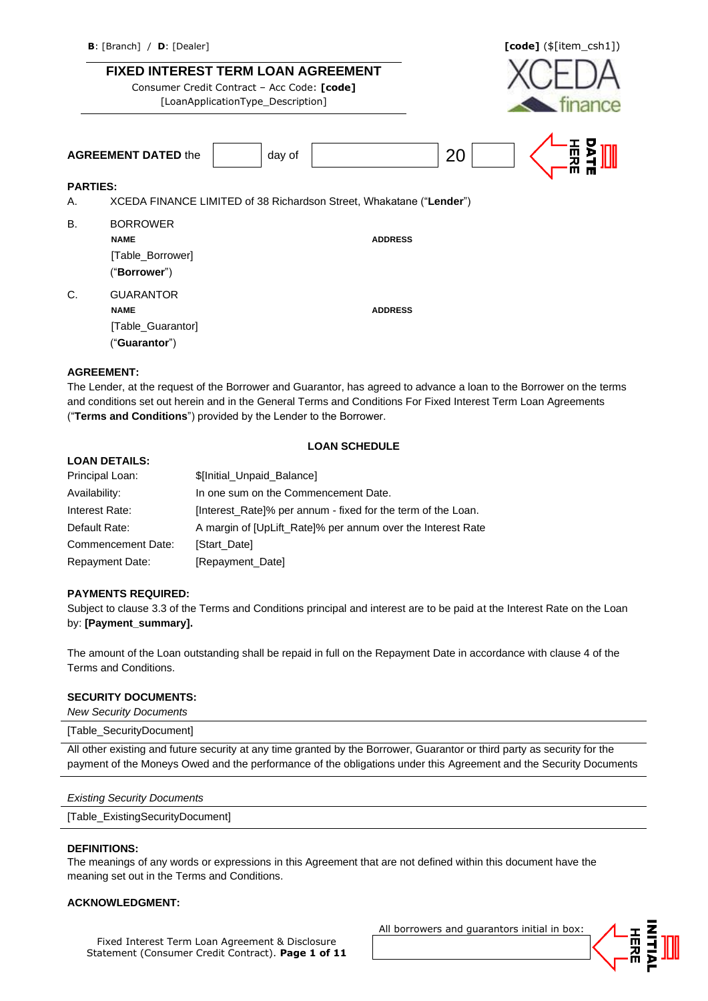### **FIXED INTEREST TERM LOAN AGREEMENT**

Consumer Credit Contract – Acc Code: **[code]** [LoanApplicationType\_Description]



|                 | <b>AGREEMENT DATED the</b><br>day of                                | 20<br>щ<br>짂<br>ш |
|-----------------|---------------------------------------------------------------------|-------------------|
| <b>PARTIES:</b> |                                                                     |                   |
| А.              | XCEDA FINANCE LIMITED of 38 Richardson Street, Whakatane ("Lender") |                   |
| В.              | <b>BORROWER</b>                                                     |                   |
|                 | <b>NAME</b>                                                         | <b>ADDRESS</b>    |
|                 | [Table_Borrower]                                                    |                   |
|                 | ("Borrower")                                                        |                   |
| C.              | <b>GUARANTOR</b>                                                    |                   |

## **AGREEMENT:**

[Table\_Guarantor] ("**Guarantor**")

The Lender, at the request of the Borrower and Guarantor, has agreed to advance a loan to the Borrower on the terms and conditions set out herein and in the General Terms and Conditions For Fixed Interest Term Loan Agreements ("**Terms and Conditions**") provided by the Lender to the Borrower.

### **LOAN SCHEDULE**

### **LOAN DETAILS:**

| Principal Loan:        | \$[Initial_Unpaid_Balance]                                   |
|------------------------|--------------------------------------------------------------|
| Availability:          | In one sum on the Commencement Date.                         |
| Interest Rate:         | [Interest_Rate]% per annum - fixed for the term of the Loan. |
| Default Rate:          | A margin of [UpLift_Rate]% per annum over the Interest Rate  |
| Commencement Date:     | [Start Date]                                                 |
| <b>Repayment Date:</b> | [Repayment_Date]                                             |

**NAME ADDRESS**

### **PAYMENTS REQUIRED:**

Subject to clause 3.3 of the Terms and Conditions principal and interest are to be paid at the Interest Rate on the Loan by: **[Payment\_summary].**

The amount of the Loan outstanding shall be repaid in full on the Repayment Date in accordance with clause 4 of the Terms and Conditions.

### **SECURITY DOCUMENTS:**

*New Security Documents* 

#### [Table\_SecurityDocument]

All other existing and future security at any time granted by the Borrower, Guarantor or third party as security for the payment of the Moneys Owed and the performance of the obligations under this Agreement and the Security Documents

| <b>Existing Security Documents</b> |  |
|------------------------------------|--|
| [Table ExistingSecurityDocument]   |  |

### **DEFINITIONS:**

The meanings of any words or expressions in this Agreement that are not defined within this document have the meaning set out in the Terms and Conditions.

### **ACKNOWLEDGMENT:**

Fixed Interest Term Loan Agreement & Disclosure Statement (Consumer Credit Contract). **Page 1 of 11** All borrowers and guarantors initial in box:

京帝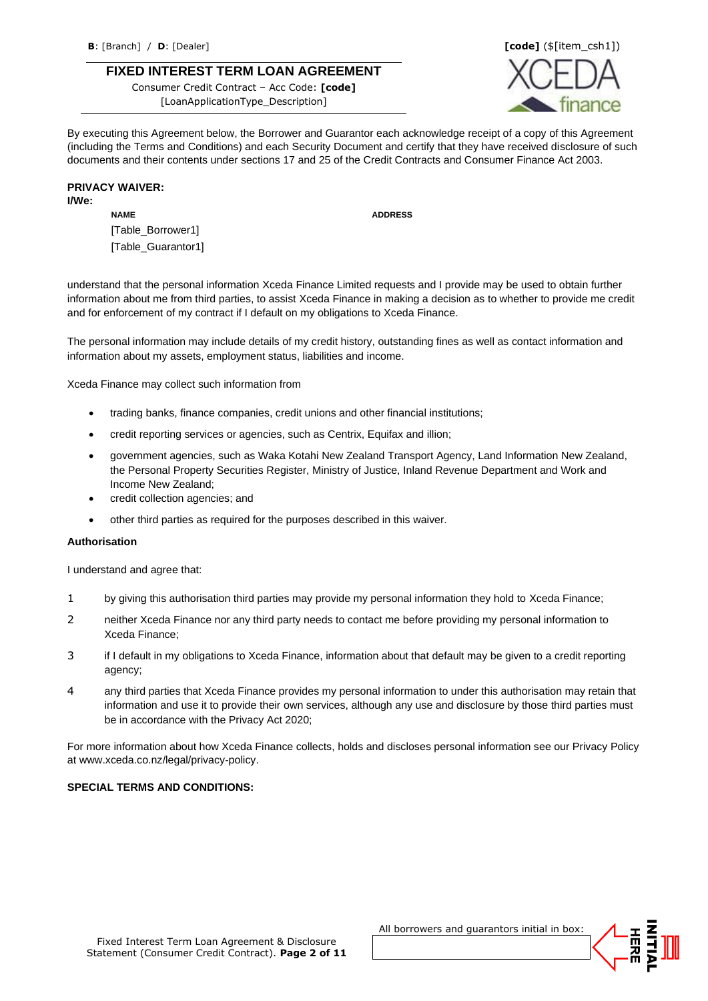### **FIXED INTEREST TERM LOAN AGREEMENT**

Consumer Credit Contract – Acc Code: **[code]** [LoanApplicationType\_Description]



By executing this Agreement below, the Borrower and Guarantor each acknowledge receipt of a copy of this Agreement (including the Terms and Conditions) and each Security Document and certify that they have received disclosure of such documents and their contents under sections 17 and 25 of the Credit Contracts and Consumer Finance Act 2003.

### **PRIVACY WAIVER:**

**I/We:**

**NAME ADDRESS**

[Table\_Borrower1] [Table\_Guarantor1]

understand that the personal information Xceda Finance Limited requests and I provide may be used to obtain further information about me from third parties, to assist Xceda Finance in making a decision as to whether to provide me credit and for enforcement of my contract if I default on my obligations to Xceda Finance.

The personal information may include details of my credit history, outstanding fines as well as contact information and information about my assets, employment status, liabilities and income.

Xceda Finance may collect such information from

- trading banks, finance companies, credit unions and other financial institutions;
- credit reporting services or agencies, such as Centrix, Equifax and illion;
- government agencies, such as Waka Kotahi New Zealand Transport Agency, Land Information New Zealand, the Personal Property Securities Register, Ministry of Justice, Inland Revenue Department and Work and Income New Zealand;
- credit collection agencies; and
- other third parties as required for the purposes described in this waiver.

### **Authorisation**

I understand and agree that:

- 1 by giving this authorisation third parties may provide my personal information they hold to Xceda Finance;
- 2 neither Xceda Finance nor any third party needs to contact me before providing my personal information to Xceda Finance;
- 3 if I default in my obligations to Xceda Finance, information about that default may be given to a credit reporting agency;
- 4 any third parties that Xceda Finance provides my personal information to under this authorisation may retain that information and use it to provide their own services, although any use and disclosure by those third parties must be in accordance with the Privacy Act 2020;

For more information about how Xceda Finance collects, holds and discloses personal information see our Privacy Policy at www.xceda.co.nz/legal/privacy-policy.

### **SPECIAL TERMS AND CONDITIONS:**

All borrowers and guarantors initial in box:

员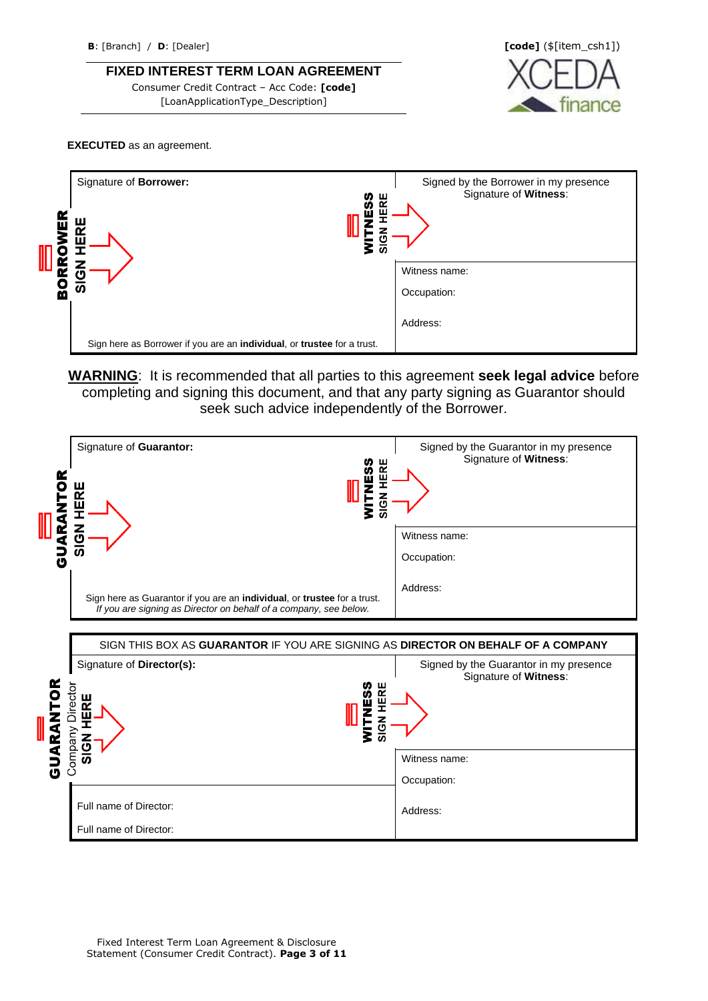**FIXED INTEREST TERM LOAN AGREEMENT**

Consumer Credit Contract – Acc Code: **[code]** [LoanApplicationType\_Description]



### **EXECUTED** as an agreement.



**WARNING**: It is recommended that all parties to this agreement **seek legal advice** before completing and signing this document, and that any party signing as Guarantor should seek such advice independently of the Borrower.

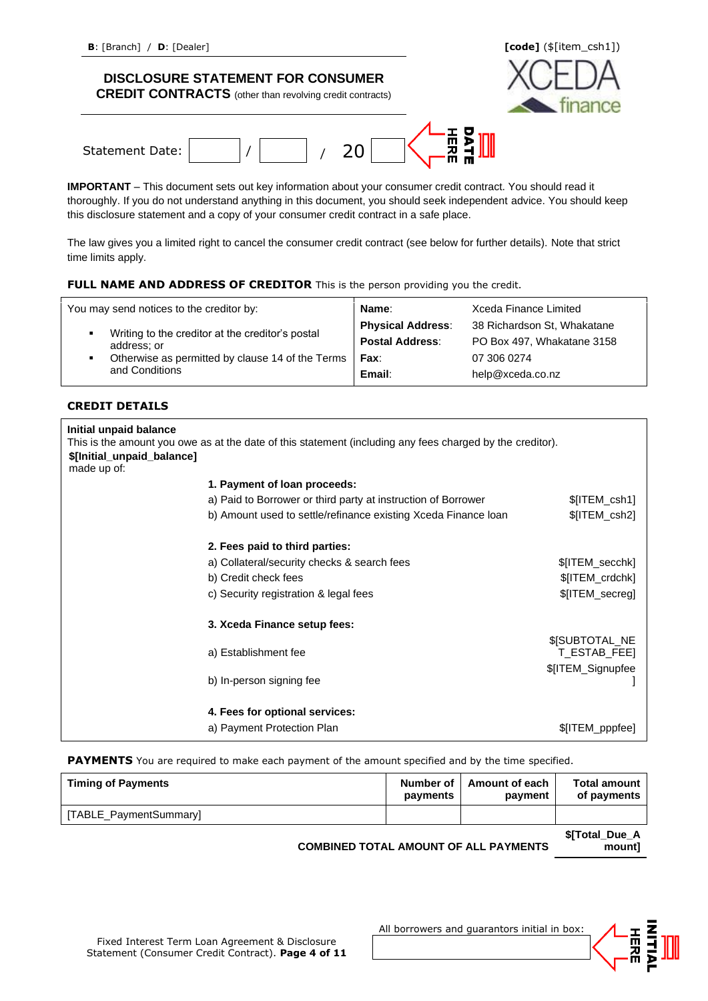**CREDIT CONTRACTS** (other than revolving credit contracts)



**IMPORTANT** – This document sets out key information about your consumer credit contract. You should read it thoroughly. If you do not understand anything in this document, you should seek independent advice. You should keep this disclosure statement and a copy of your consumer credit contract in a safe place.

The law gives you a limited right to cancel the consumer credit contract (see below for further details). Note that strict time limits apply.

### **FULL NAME AND ADDRESS OF CREDITOR** This is the person providing you the credit.

| You may send notices to the creditor by:                        | Name:                    | Xceda Finance Limited       |
|-----------------------------------------------------------------|--------------------------|-----------------------------|
|                                                                 | <b>Physical Address:</b> | 38 Richardson St, Whakatane |
| Writing to the creditor at the creditor's postal<br>address; or | <b>Postal Address:</b>   | PO Box 497, Whakatane 3158  |
| Otherwise as permitted by clause 14 of the Terms                | Fax:                     | 07 306 0274                 |
| and Conditions                                                  | Email:                   | help@xceda.co.nz            |

### **CREDIT DETAILS**

| Initial unpaid balance<br>\$[Initial_unpaid_balance]<br>made up of: | This is the amount you owe as at the date of this statement (including any fees charged by the creditor). |                                             |
|---------------------------------------------------------------------|-----------------------------------------------------------------------------------------------------------|---------------------------------------------|
|                                                                     | 1. Payment of loan proceeds:                                                                              |                                             |
|                                                                     | a) Paid to Borrower or third party at instruction of Borrower                                             | \$[ITEM_csh1]                               |
|                                                                     | b) Amount used to settle/refinance existing Xceda Finance Ioan                                            | \$[ITEM_csh2]                               |
|                                                                     | 2. Fees paid to third parties:                                                                            |                                             |
|                                                                     | a) Collateral/security checks & search fees                                                               | \$[ITEM_secchk]                             |
|                                                                     | b) Credit check fees                                                                                      | \$[ITEM_crdchk]                             |
|                                                                     | c) Security registration & legal fees                                                                     | \$[ITEM_secreg]                             |
|                                                                     | 3. Xceda Finance setup fees:                                                                              |                                             |
|                                                                     | a) Establishment fee                                                                                      | <b><i>SISUBTOTAL NE</i></b><br>T_ESTAB_FEE] |
|                                                                     | b) In-person signing fee                                                                                  | \$[ITEM_Signupfee                           |
|                                                                     | 4. Fees for optional services:                                                                            |                                             |
|                                                                     | a) Payment Protection Plan                                                                                | \$[ITEM_pppfee]                             |

**PAYMENTS** You are required to make each payment of the amount specified and by the time specified.

| <b>Timing of Payments</b> | Number of I<br>payments | <b>Amount of each</b><br>payment | Total amount<br>of payments |
|---------------------------|-------------------------|----------------------------------|-----------------------------|
| [TABLE_PaymentSummary]    |                         |                                  |                             |
|                           |                         |                                  | \$[Total Due A              |

**COMBINED TOTAL AMOUNT OF ALL PAYMENTS** 



All borrowers and guarantors initial in box:



**mount]**

**nano**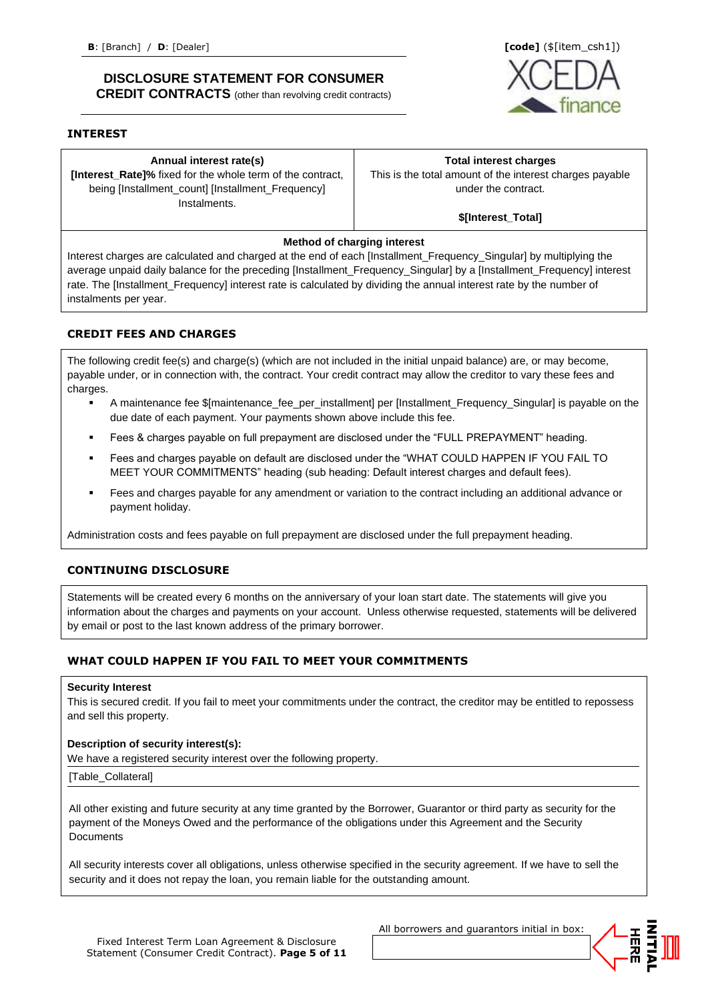### **DISCLOSURE STATEMENT FOR CONSUMER CREDIT CONTRACTS** (other than revolving credit contracts)

### **INTEREST**

**Annual interest rate(s)**

**[Interest\_Rate]%** fixed for the whole term of the contract, being [Installment\_count] [Installment\_Frequency] **Instalments** 

### **Total interest charges**

This is the total amount of the interest charges payable under the contract.

### **\$[Interest\_Total]**

### **Method of charging interest**

Interest charges are calculated and charged at the end of each [Installment\_Frequency\_Singular] by multiplying the average unpaid daily balance for the preceding [Installment\_Frequency\_Singular] by a [Installment\_Frequency] interest rate. The [Installment\_Frequency] interest rate is calculated by dividing the annual interest rate by the number of instalments per year.

### **CREDIT FEES AND CHARGES**

The following credit fee(s) and charge(s) (which are not included in the initial unpaid balance) are, or may become, payable under, or in connection with, the contract. Your credit contract may allow the creditor to vary these fees and charges.

- A maintenance fee \$[maintenance\_fee\_per\_installment] per [Installment\_Frequency\_Singular] is payable on the due date of each payment. Your payments shown above include this fee.
- Fees & charges payable on full prepayment are disclosed under the "FULL PREPAYMENT" heading.
- Fees and charges payable on default are disclosed under the "WHAT COULD HAPPEN IF YOU FAIL TO MEET YOUR COMMITMENTS" heading (sub heading: Default interest charges and default fees).
- Fees and charges payable for any amendment or variation to the contract including an additional advance or payment holiday.

Administration costs and fees payable on full prepayment are disclosed under the full prepayment heading.

### **CONTINUING DISCLOSURE**

Statements will be created every 6 months on the anniversary of your loan start date. The statements will give you information about the charges and payments on your account. Unless otherwise requested, statements will be delivered by email or post to the last known address of the primary borrower.

### **WHAT COULD HAPPEN IF YOU FAIL TO MEET YOUR COMMITMENTS**

#### **Security Interest**

This is secured credit. If you fail to meet your commitments under the contract, the creditor may be entitled to repossess and sell this property.

### **Description of security interest(s):**

We have a registered security interest over the following property.

[Table\_Collateral]

All other existing and future security at any time granted by the Borrower, Guarantor or third party as security for the payment of the Moneys Owed and the performance of the obligations under this Agreement and the Security **Documents** 

All security interests cover all obligations, unless otherwise specified in the security agreement. If we have to sell the security and it does not repay the loan, you remain liable for the outstanding amount.

All borrowers and guarantors initial in box:



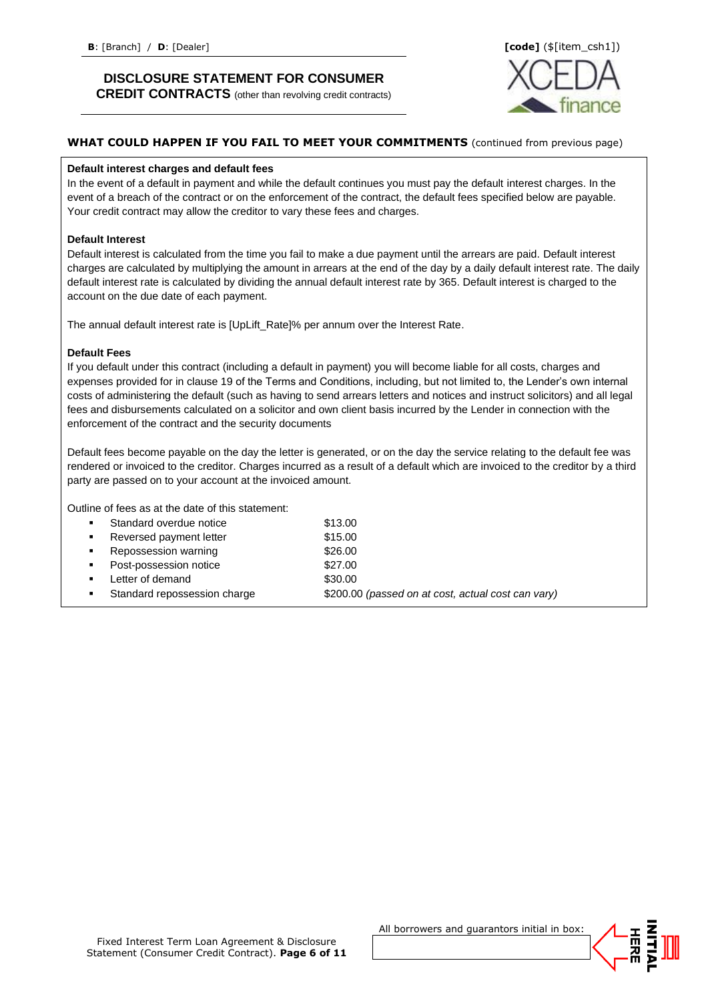**CREDIT CONTRACTS** (other than revolving credit contracts)



## **WHAT COULD HAPPEN IF YOU FAIL TO MEET YOUR COMMITMENTS** (continued from previous page)

#### **Default interest charges and default fees**

In the event of a default in payment and while the default continues you must pay the default interest charges. In the event of a breach of the contract or on the enforcement of the contract, the default fees specified below are payable. Your credit contract may allow the creditor to vary these fees and charges.

### **Default Interest**

Default interest is calculated from the time you fail to make a due payment until the arrears are paid. Default interest charges are calculated by multiplying the amount in arrears at the end of the day by a daily default interest rate. The daily default interest rate is calculated by dividing the annual default interest rate by 365. Default interest is charged to the account on the due date of each payment.

The annual default interest rate is [UpLift\_Rate]% per annum over the Interest Rate.

### **Default Fees**

If you default under this contract (including a default in payment) you will become liable for all costs, charges and expenses provided for in clause 19 of the Terms and Conditions, including, but not limited to, the Lender's own internal costs of administering the default (such as having to send arrears letters and notices and instruct solicitors) and all legal fees and disbursements calculated on a solicitor and own client basis incurred by the Lender in connection with the enforcement of the contract and the security documents

Default fees become payable on the day the letter is generated, or on the day the service relating to the default fee was rendered or invoiced to the creditor. Charges incurred as a result of a default which are invoiced to the creditor by a third party are passed on to your account at the invoiced amount.

Outline of fees as at the date of this statement:

| . .            | Standard overdue notice      | \$13.00                                            |
|----------------|------------------------------|----------------------------------------------------|
| $\blacksquare$ | Reversed payment letter      | \$15.00                                            |
| $\mathbf{r}$   | Repossession warning         | \$26.00                                            |
| л.             | Post-possession notice       | \$27.00                                            |
| $\mathbf{r}$   | Letter of demand             | \$30.00                                            |
|                | Standard repossession charge | \$200.00 (passed on at cost, actual cost can vary) |

All borrowers and guarantors initial in box:

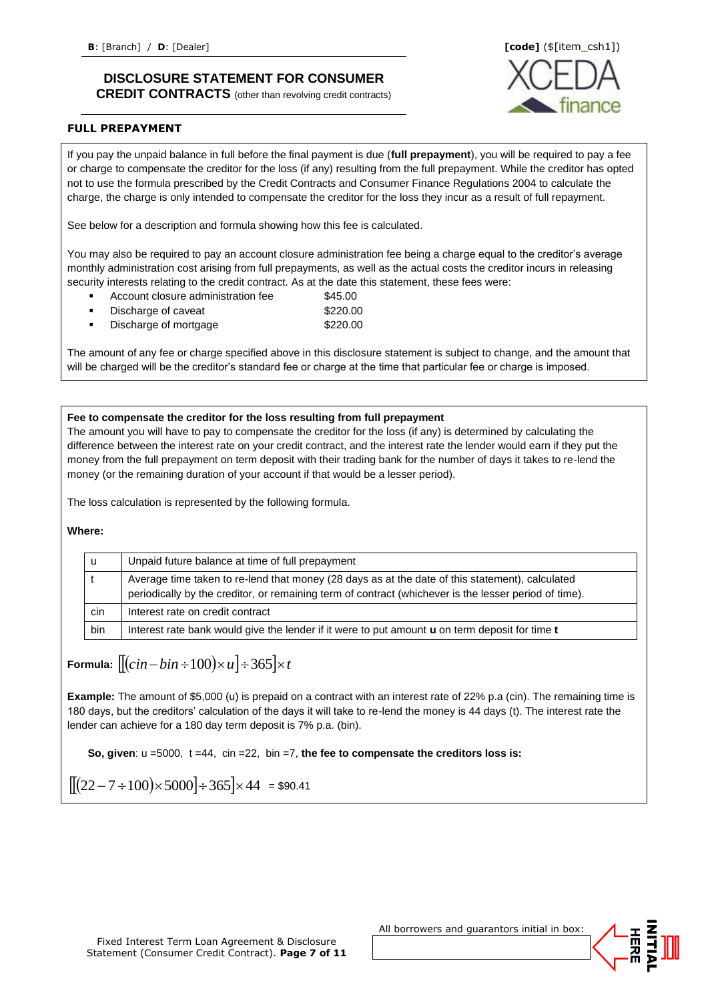**CREDIT CONTRACTS** (other than revolving credit contracts)



### **FULL PREPAYMENT**

If you pay the unpaid balance in full before the final payment is due (**full prepayment**), you will be required to pay a fee or charge to compensate the creditor for the loss (if any) resulting from the full prepayment. While the creditor has opted not to use the formula prescribed by the Credit Contracts and Consumer Finance Regulations 2004 to calculate the charge, the charge is only intended to compensate the creditor for the loss they incur as a result of full repayment.

See below for a description and formula showing how this fee is calculated.

You may also be required to pay an account closure administration fee being a charge equal to the creditor's average monthly administration cost arising from full prepayments, as well as the actual costs the creditor incurs in releasing security interests relating to the credit contract. As at the date this statement, these fees were:

- Account closure administration fee \$45.00
- Discharge of caveat \$220.00
- Discharge of mortgage  $$220.00$

The amount of any fee or charge specified above in this disclosure statement is subject to change, and the amount that will be charged will be the creditor's standard fee or charge at the time that particular fee or charge is imposed.

**Fee to compensate the creditor for the loss resulting from full prepayment**

The amount you will have to pay to compensate the creditor for the loss (if any) is determined by calculating the difference between the interest rate on your credit contract, and the interest rate the lender would earn if they put the money from the full prepayment on term deposit with their trading bank for the number of days it takes to re-lend the money (or the remaining duration of your account if that would be a lesser period).

The loss calculation is represented by the following formula.

**Where:**

| u   | Unpaid future balance at time of full prepayment                                                                                                                                                         |
|-----|----------------------------------------------------------------------------------------------------------------------------------------------------------------------------------------------------------|
|     | Average time taken to re-lend that money (28 days as at the date of this statement), calculated<br>periodically by the creditor, or remaining term of contract (whichever is the lesser period of time). |
| cin | Interest rate on credit contract                                                                                                                                                                         |
| bin | Interest rate bank would give the lender if it were to put amount <b>u</b> on term deposit for time <b>t</b>                                                                                             |

**Formula:**  $||(cin-bin \div 100) \times u| \div 365| \times t$ 

**Example:** The amount of \$5,000 (u) is prepaid on a contract with an interest rate of 22% p.a (cin). The remaining time is 180 days, but the creditors' calculation of the days it will take to re-lend the money is 44 days (t). The interest rate the lender can achieve for a 180 day term deposit is 7% p.a. (bin).

**So, given**: u =5000, t =44, cin =22, bin =7, **the fee to compensate the creditors loss is:**

$$
\left[ \left[ \left( 22 - 7 \div 100 \right) \times 5000 \right] \div 365 \right] \times 44 = \$90.41
$$

All borrowers and guarantors initial in box:

舌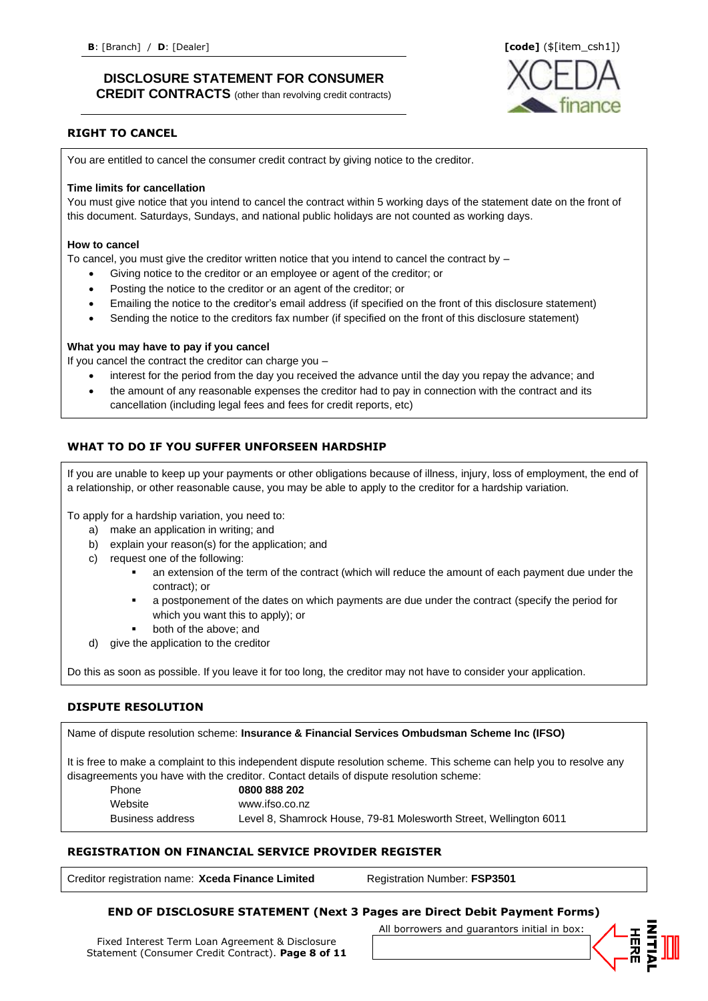**CREDIT CONTRACTS** (other than revolving credit contracts)



### **RIGHT TO CANCEL**

You are entitled to cancel the consumer credit contract by giving notice to the creditor.

### **Time limits for cancellation**

You must give notice that you intend to cancel the contract within 5 working days of the statement date on the front of this document. Saturdays, Sundays, and national public holidays are not counted as working days.

### **How to cancel**

To cancel, you must give the creditor written notice that you intend to cancel the contract by –

- Giving notice to the creditor or an employee or agent of the creditor; or
- Posting the notice to the creditor or an agent of the creditor; or
- Emailing the notice to the creditor's email address (if specified on the front of this disclosure statement)
- Sending the notice to the creditors fax number (if specified on the front of this disclosure statement)

### **What you may have to pay if you cancel**

If you cancel the contract the creditor can charge you –

- interest for the period from the day you received the advance until the day you repay the advance; and
- the amount of any reasonable expenses the creditor had to pay in connection with the contract and its cancellation (including legal fees and fees for credit reports, etc)

### **WHAT TO DO IF YOU SUFFER UNFORSEEN HARDSHIP**

If you are unable to keep up your payments or other obligations because of illness, injury, loss of employment, the end of a relationship, or other reasonable cause, you may be able to apply to the creditor for a hardship variation.

To apply for a hardship variation, you need to:

- a) make an application in writing; and
- b) explain your reason(s) for the application; and
- c) request one of the following:
	- an extension of the term of the contract (which will reduce the amount of each payment due under the contract); or
	- a postponement of the dates on which payments are due under the contract (specify the period for which you want this to apply); or
	- both of the above; and
- give the application to the creditor

Do this as soon as possible. If you leave it for too long, the creditor may not have to consider your application.

### **DISPUTE RESOLUTION**

Name of dispute resolution scheme: **Insurance & Financial Services Ombudsman Scheme Inc (IFSO)**

It is free to make a complaint to this independent dispute resolution scheme. This scheme can help you to resolve any disagreements you have with the creditor. Contact details of dispute resolution scheme:

| Phone            | 0800 888 202                                                      |
|------------------|-------------------------------------------------------------------|
| Website          | www.ifso.co.nz                                                    |
| Business address | Level 8, Shamrock House, 79-81 Molesworth Street, Wellington 6011 |

### **REGISTRATION ON FINANCIAL SERVICE PROVIDER REGISTER**

Creditor registration name: **Xceda Finance Limited** Registration Number: **FSP3501**

### **END OF DISCLOSURE STATEMENT (Next 3 Pages are Direct Debit Payment Forms)**

Fixed Interest Term Loan Agreement & Disclosure Statement (Consumer Credit Contract). **Page 8 of 11** All borrowers and guarantors initial in box:

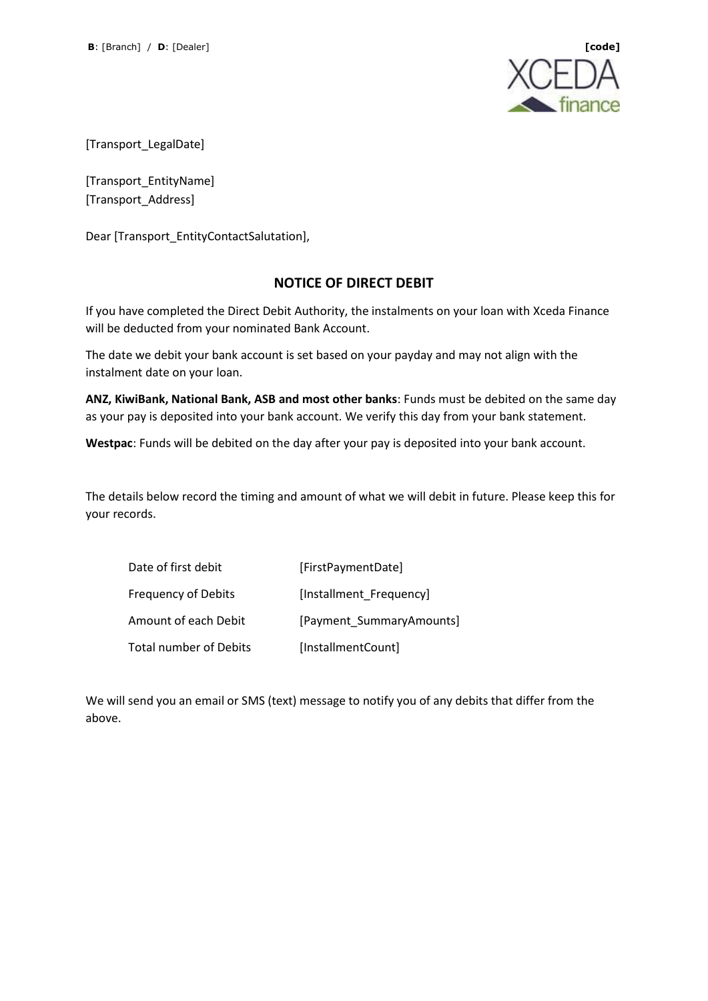

[Transport\_LegalDate]

[Transport\_EntityName] [Transport\_Address]

Dear [Transport\_EntityContactSalutation],

## **NOTICE OF DIRECT DEBIT**

If you have completed the Direct Debit Authority, the instalments on your loan with Xceda Finance will be deducted from your nominated Bank Account.

The date we debit your bank account is set based on your payday and may not align with the instalment date on your loan.

**ANZ, KiwiBank, National Bank, ASB and most other banks**: Funds must be debited on the same day as your pay is deposited into your bank account. We verify this day from your bank statement.

**Westpac**: Funds will be debited on the day after your pay is deposited into your bank account.

The details below record the timing and amount of what we will debit in future. Please keep this for your records.

| Date of first debit           | [FirstPaymentDate]       |
|-------------------------------|--------------------------|
| <b>Frequency of Debits</b>    | [Installment_Frequency]  |
| Amount of each Debit          | [Payment SummaryAmounts] |
| <b>Total number of Debits</b> | [InstallmentCount]       |

We will send you an email or SMS (text) message to notify you of any debits that differ from the above.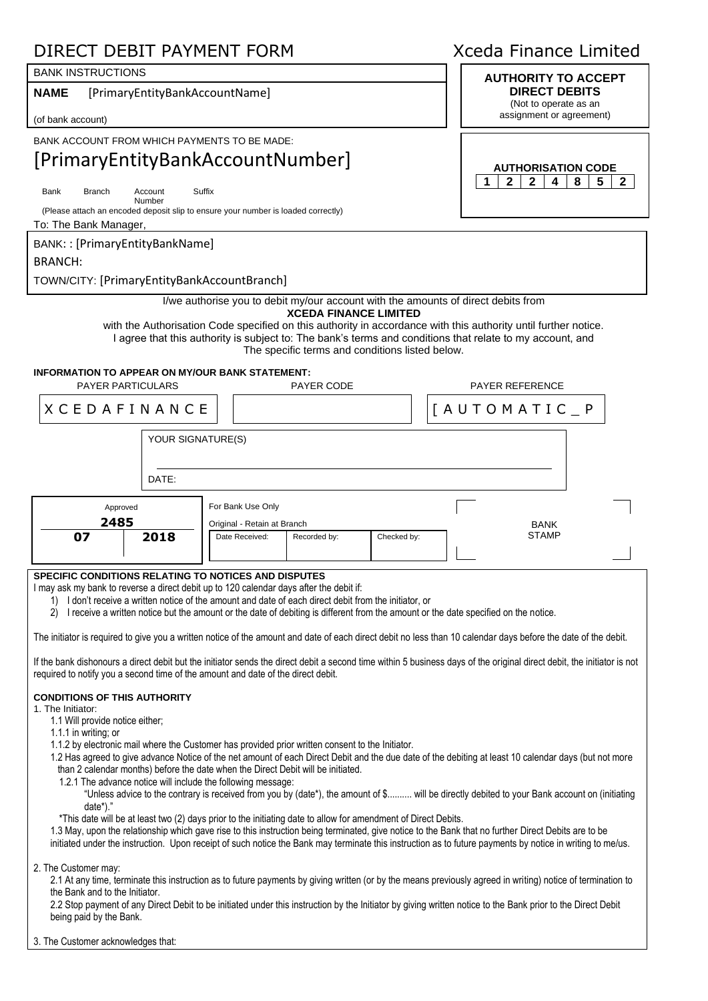## DIRECT DEBIT PAYMENT FORM Xceda Finance Limited

## BANK INSTRUCTIONS **AUTHORITY TO ACCEPT**

**NAME** [PrimaryEntityBankAccountName]

(of bank account)

BANK ACCOUNT FROM WHICH PAYMENTS TO BE MADE:

## [PrimaryEntityBankAccountNumber]

Suffix

Bank Branch Account Number

(Please attach an encoded deposit slip to ensure your number is loaded correctly)

To: The Bank Manager,

BANK: : [PrimaryEntityBankName]

BRANCH:

TOWN/CITY: [PrimaryEntityBankAccountBranch]

I/we authorise you to debit my/our account with the amounts of direct debits from **XCEDA FINANCE LIMITED**

with the Authorisation Code specified on this authority in accordance with this authority until further notice. I agree that this authority is subject to: The bank's terms and conditions that relate to my account, and The specific terms and conditions listed below.

### **INFORMATION TO APPEAR ON MY/OUR BANK STATEMENT:**

PAYER PARTICULARS PAYER CODE PAYER PAYER REFERENCE

| $X$ C E D A F I N A N C E |       |                                                  |              |             | $[A U T O M A T I C P$ |  |
|---------------------------|-------|--------------------------------------------------|--------------|-------------|------------------------|--|
|                           |       | YOUR SIGNATURE(S)                                |              |             |                        |  |
|                           | DATE: |                                                  |              |             |                        |  |
| Approved<br>2485          |       | For Bank Use Only<br>Original - Retain at Branch |              |             | <b>BANK</b>            |  |
| 07                        | 2018  | Date Received:                                   | Recorded by: | Checked by: | <b>STAMP</b>           |  |

### **SPECIFIC CONDITIONS RELATING TO NOTICES AND DISPUTES**

I may ask my bank to reverse a direct debit up to 120 calendar days after the debit if:

- 1) I don't receive a written notice of the amount and date of each direct debit from the initiator, or
- 2) I receive a written notice but the amount or the date of debiting is different from the amount or the date specified on the notice.

The initiator is required to give you a written notice of the amount and date of each direct debit no less than 10 calendar days before the date of the debit.

If the bank dishonours a direct debit but the initiator sends the direct debit a second time within 5 business days of the original direct debit, the initiator is not required to notify you a second time of the amount and date of the direct debit.

### **CONDITIONS OF THIS AUTHORITY**

1. The Initiator:

- 1.1 Will provide notice either;
- 1.1.1 in writing; or
- 1.1.2 by electronic mail where the Customer has provided prior written consent to the Initiator.
- 1.2 Has agreed to give advance Notice of the net amount of each Direct Debit and the due date of the debiting at least 10 calendar days (but not more than 2 calendar months) before the date when the Direct Debit will be initiated.
	- 1.2.1 The advance notice will include the following message:

"Unless advice to the contrary is received from you by (date\*), the amount of \$.......... will be directly debited to your Bank account on (initiating date\*).'

\*This date will be at least two (2) days prior to the initiating date to allow for amendment of Direct Debits.

1.3 May, upon the relationship which gave rise to this instruction being terminated, give notice to the Bank that no further Direct Debits are to be initiated under the instruction. Upon receipt of such notice the Bank may terminate this instruction as to future payments by notice in writing to me/us.

2. The Customer may:

2.1 At any time, terminate this instruction as to future payments by giving written (or by the means previously agreed in writing) notice of termination to the Bank and to the Initiator.

2.2 Stop payment of any Direct Debit to be initiated under this instruction by the Initiator by giving written notice to the Bank prior to the Direct Debit being paid by the Bank.

3. The Customer acknowledges that:

**DIRECT DEBITS** (Not to operate as an assignment or agreement)

**AUTHORISATION CODE 1 2 2 4 8 5 2**